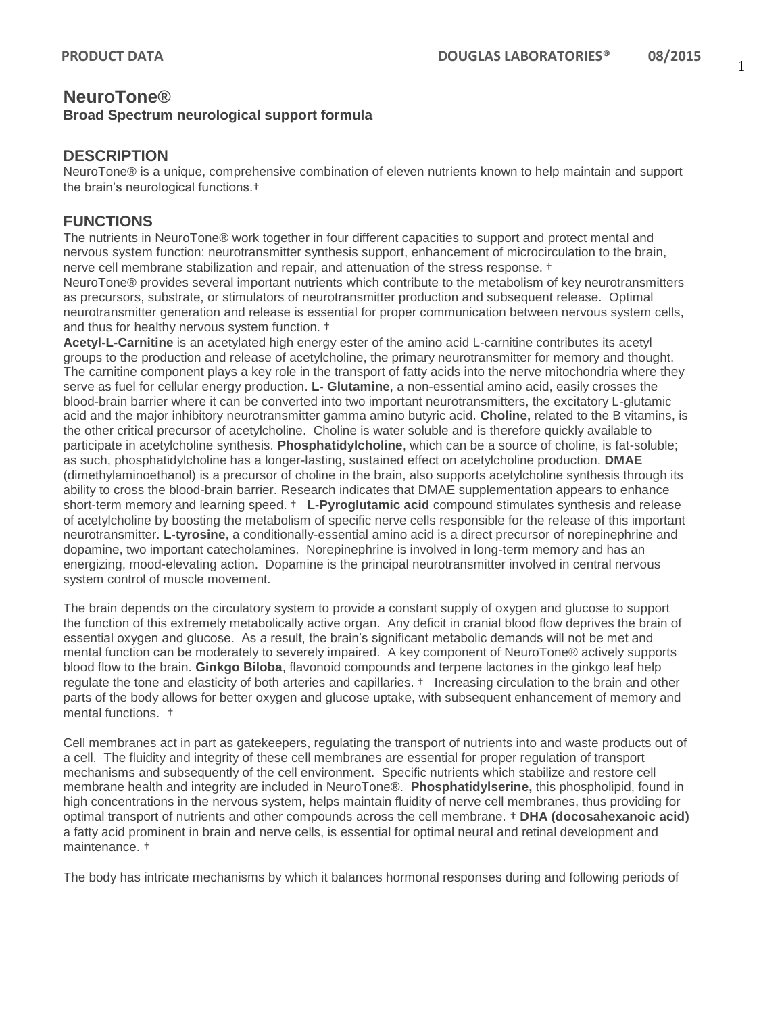## **NeuroTone®**

#### **Broad Spectrum neurological support formula**

#### **DESCRIPTION**

NeuroTone® is a unique, comprehensive combination of eleven nutrients known to help maintain and support the brain's neurological functions.†

#### **FUNCTIONS**

The nutrients in NeuroTone® work together in four different capacities to support and protect mental and nervous system function: neurotransmitter synthesis support, enhancement of microcirculation to the brain, nerve cell membrane stabilization and repair, and attenuation of the stress response. †

NeuroTone® provides several important nutrients which contribute to the metabolism of key neurotransmitters as precursors, substrate, or stimulators of neurotransmitter production and subsequent release. Optimal neurotransmitter generation and release is essential for proper communication between nervous system cells, and thus for healthy nervous system function. †

**Acetyl-L-Carnitine** is an acetylated high energy ester of the amino acid L-carnitine contributes its acetyl groups to the production and release of acetylcholine, the primary neurotransmitter for memory and thought. The carnitine component plays a key role in the transport of fatty acids into the nerve mitochondria where they serve as fuel for cellular energy production. **L- Glutamine**, a non-essential amino acid, easily crosses the blood-brain barrier where it can be converted into two important neurotransmitters, the excitatory L-glutamic acid and the major inhibitory neurotransmitter gamma amino butyric acid. **Choline,** related to the B vitamins, is the other critical precursor of acetylcholine. Choline is water soluble and is therefore quickly available to participate in acetylcholine synthesis. **Phosphatidylcholine**, which can be a source of choline, is fat-soluble; as such, phosphatidylcholine has a longer-lasting, sustained effect on acetylcholine production. **DMAE**  (dimethylaminoethanol) is a precursor of choline in the brain, also supports acetylcholine synthesis through its ability to cross the blood-brain barrier. Research indicates that DMAE supplementation appears to enhance short-term memory and learning speed. † **L-Pyroglutamic acid** compound stimulates synthesis and release of acetylcholine by boosting the metabolism of specific nerve cells responsible for the release of this important neurotransmitter. **L-tyrosine**, a conditionally-essential amino acid is a direct precursor of norepinephrine and dopamine, two important catecholamines. Norepinephrine is involved in long-term memory and has an energizing, mood-elevating action. Dopamine is the principal neurotransmitter involved in central nervous system control of muscle movement.

The brain depends on the circulatory system to provide a constant supply of oxygen and glucose to support the function of this extremely metabolically active organ. Any deficit in cranial blood flow deprives the brain of essential oxygen and glucose. As a result, the brain's significant metabolic demands will not be met and mental function can be moderately to severely impaired. A key component of NeuroTone® actively supports blood flow to the brain. **Ginkgo Biloba**, flavonoid compounds and terpene lactones in the ginkgo leaf help regulate the tone and elasticity of both arteries and capillaries. † Increasing circulation to the brain and other parts of the body allows for better oxygen and glucose uptake, with subsequent enhancement of memory and mental functions. †

Cell membranes act in part as gatekeepers, regulating the transport of nutrients into and waste products out of a cell. The fluidity and integrity of these cell membranes are essential for proper regulation of transport mechanisms and subsequently of the cell environment. Specific nutrients which stabilize and restore cell membrane health and integrity are included in NeuroTone®. **Phosphatidylserine,** this phospholipid, found in high concentrations in the nervous system, helps maintain fluidity of nerve cell membranes, thus providing for optimal transport of nutrients and other compounds across the cell membrane. † **DHA (docosahexanoic acid)** a fatty acid prominent in brain and nerve cells, is essential for optimal neural and retinal development and maintenance. †

The body has intricate mechanisms by which it balances hormonal responses during and following periods of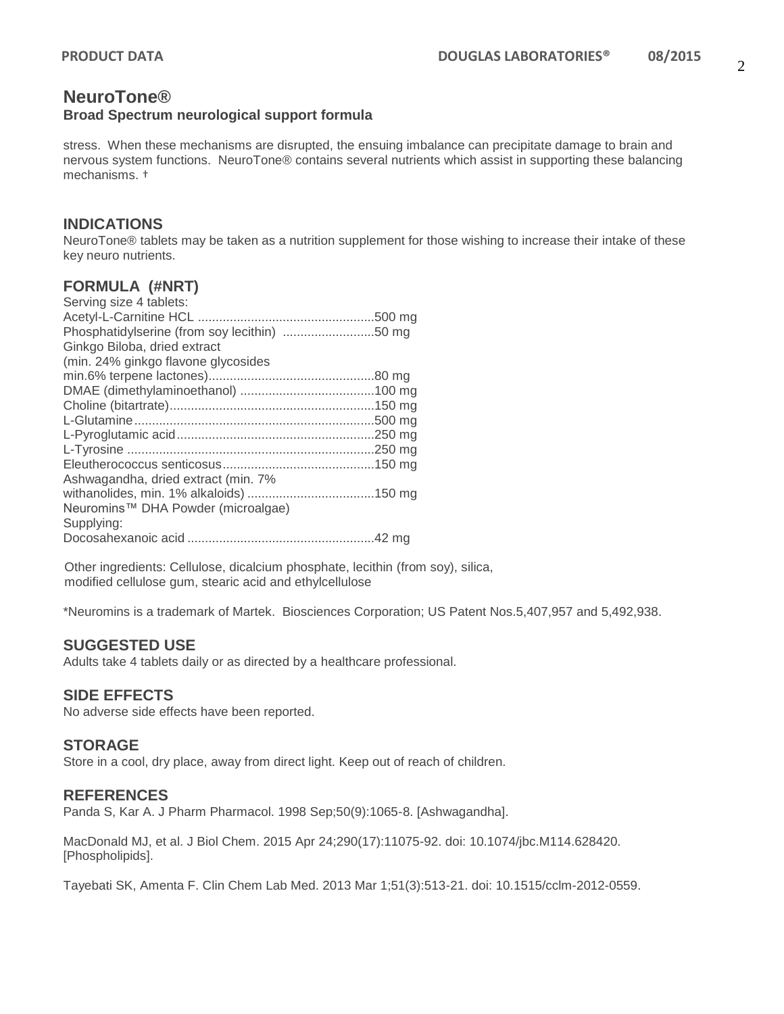# **NeuroTone®**

#### **Broad Spectrum neurological support formula**

stress. When these mechanisms are disrupted, the ensuing imbalance can precipitate damage to brain and nervous system functions. NeuroTone® contains several nutrients which assist in supporting these balancing mechanisms. †

#### **INDICATIONS**

NeuroTone® tablets may be taken as a nutrition supplement for those wishing to increase their intake of these key neuro nutrients.

#### **FORMULA (#NRT)**

| Serving size 4 tablets:                      |  |
|----------------------------------------------|--|
|                                              |  |
| Phosphatidylserine (from soy lecithin) 50 mg |  |
| Ginkgo Biloba, dried extract                 |  |
| (min. 24% ginkgo flavone glycosides          |  |
|                                              |  |
|                                              |  |
|                                              |  |
|                                              |  |
|                                              |  |
|                                              |  |
|                                              |  |
| Ashwagandha, dried extract (min. 7%          |  |
|                                              |  |
| Neuromins™ DHA Powder (microalgae)           |  |
| Supplying:                                   |  |
|                                              |  |
|                                              |  |

Other ingredients: Cellulose, dicalcium phosphate, lecithin (from soy), silica, modified cellulose gum, stearic acid and ethylcellulose

\*Neuromins is a trademark of Martek. Biosciences Corporation; US Patent Nos.5,407,957 and 5,492,938.

#### **SUGGESTED USE**

Adults take 4 tablets daily or as directed by a healthcare professional.

#### **SIDE EFFECTS**

No adverse side effects have been reported.

#### **STORAGE**

Store in a cool, dry place, away from direct light. Keep out of reach of children.

#### **REFERENCES**

Panda S, Kar A. J Pharm Pharmacol. 1998 Sep;50(9):1065-8. [Ashwagandha].

MacDonald MJ, et al. J Biol Chem. 2015 Apr 24;290(17):11075-92. doi: 10.1074/jbc.M114.628420. [Phospholipids].

Tayebati SK, Amenta F. Clin Chem Lab Med. 2013 Mar 1;51(3):513-21. doi: 10.1515/cclm-2012-0559.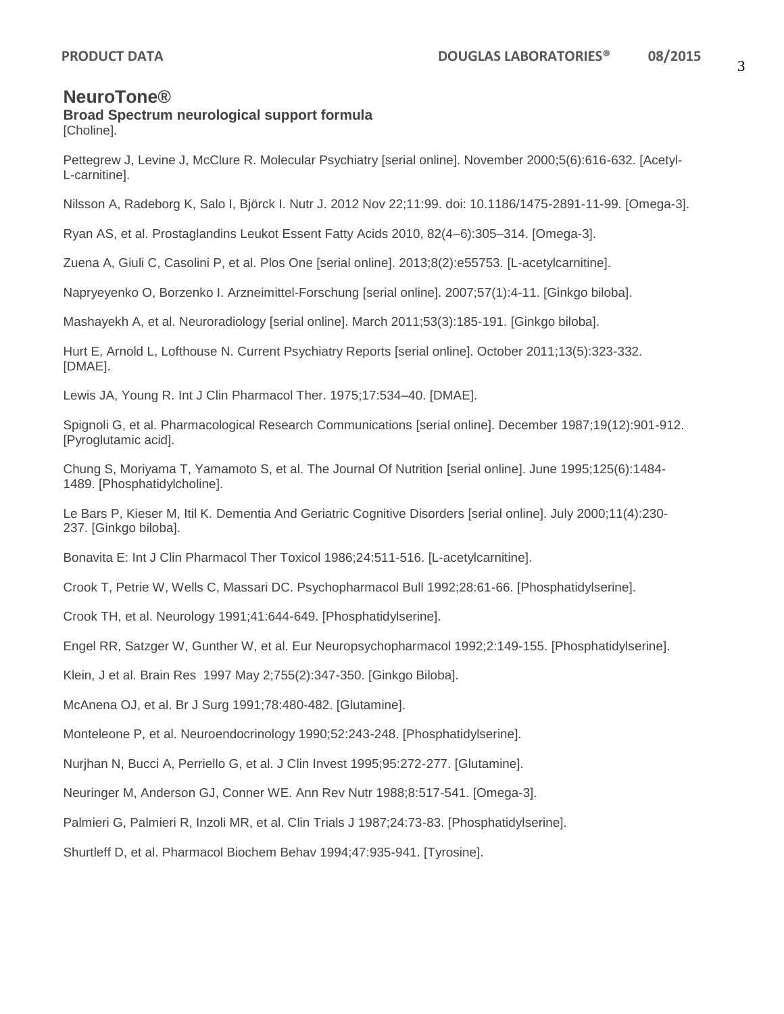### **NeuroTone®**

# **Broad Spectrum neurological support formula**

[Choline].

Pettegrew J, Levine J, McClure R. Molecular Psychiatry [serial online]. November 2000;5(6):616-632. [Acetyl-L-carnitine].

Nilsson A, Radeborg K, Salo I, Björck I. Nutr J. 2012 Nov 22;11:99. doi: 10.1186/1475-2891-11-99. [Omega-3].

Ryan AS, et al. Prostaglandins Leukot Essent Fatty Acids 2010, 82(4–6):305–314. [Omega-3].

Zuena A, Giuli C, Casolini P, et al. Plos One [serial online]. 2013;8(2):e55753. [L-acetylcarnitine].

Napryeyenko O, Borzenko I. Arzneimittel-Forschung [serial online]. 2007;57(1):4-11. [Ginkgo biloba].

Mashayekh A, et al. Neuroradiology [serial online]. March 2011;53(3):185-191. [Ginkgo biloba].

Hurt E, Arnold L, Lofthouse N. Current Psychiatry Reports [serial online]. October 2011;13(5):323-332. [DMAE].

Lewis JA, Young R. Int J Clin Pharmacol Ther. 1975;17:534–40. [DMAE].

Spignoli G, et al. Pharmacological Research Communications [serial online]. December 1987;19(12):901-912. [Pyroglutamic acid].

Chung S, Moriyama T, Yamamoto S, et al. The Journal Of Nutrition [serial online]. June 1995;125(6):1484- 1489. [Phosphatidylcholine].

Le Bars P, Kieser M, Itil K. Dementia And Geriatric Cognitive Disorders [serial online]. July 2000;11(4):230- 237. [Ginkgo biloba].

Bonavita E: Int J Clin Pharmacol Ther Toxicol 1986;24:511-516. [L-acetylcarnitine].

Crook T, Petrie W, Wells C, Massari DC. Psychopharmacol Bull 1992;28:61-66. [Phosphatidylserine].

Crook TH, et al. Neurology 1991;41:644-649. [Phosphatidylserine].

Engel RR, Satzger W, Gunther W, et al. Eur Neuropsychopharmacol 1992;2:149-155. [Phosphatidylserine].

Klein, J et al. Brain Res 1997 May 2;755(2):347-350. [Ginkgo Biloba].

McAnena OJ, et al. Br J Surg 1991;78:480-482. [Glutamine].

Monteleone P, et al. Neuroendocrinology 1990;52:243-248. [Phosphatidylserine].

Nurjhan N, Bucci A, Perriello G, et al. J Clin Invest 1995;95:272-277. [Glutamine].

Neuringer M, Anderson GJ, Conner WE. Ann Rev Nutr 1988;8:517-541. [Omega-3].

Palmieri G, Palmieri R, Inzoli MR, et al. Clin Trials J 1987;24:73-83. [Phosphatidylserine].

Shurtleff D, et al. Pharmacol Biochem Behav 1994;47:935-941. [Tyrosine].